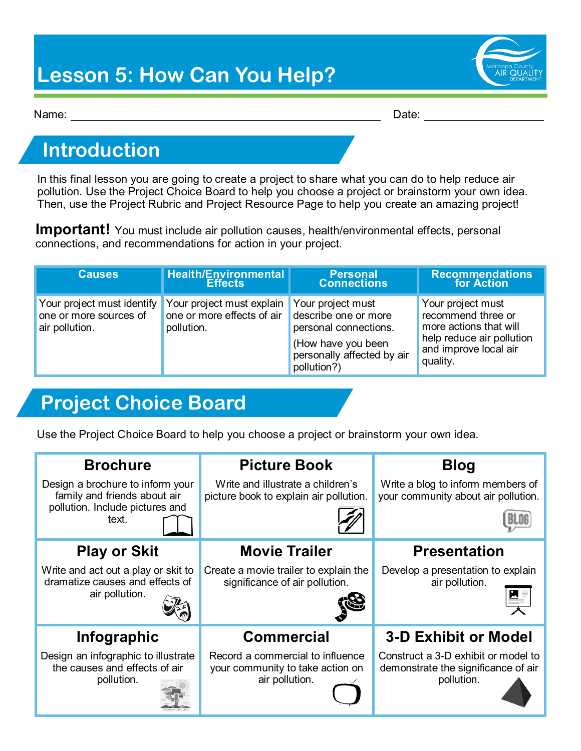# **Lesson 5: How Can You Help?**



Name: Date: Date: Date: Date: Date: Date: Date: Date: Date: Date: Date: Date: Date: Date: Date: Date: Date: Date: Date: Date: Date: Date: Date: Date: Date: Date: Date: Date: Date: Date: Date: Date: Date: Date: Date: Date:

#### **Introduction**

In this final lesson you are going to create a project to share what you can do to help reduce air pollution. Use the Project Choice Board to help you choose a project or brainstorm your own idea. Then, use the Project Rubric and Project Resource Page to help you create an amazing project!

**Important!** You must include air pollution causes, health/environmental effects, personal connections, and recommendations for action in your project.

| <b>Causes</b>                                                          | <b>Health/Environmental</b>                                           | <b>Personal</b>                                                                                                                       | <b>Recommendations</b>                                                                                                              |
|------------------------------------------------------------------------|-----------------------------------------------------------------------|---------------------------------------------------------------------------------------------------------------------------------------|-------------------------------------------------------------------------------------------------------------------------------------|
|                                                                        | <b>Effects</b>                                                        | <b>Connections</b>                                                                                                                    | for Action                                                                                                                          |
| Your project must identify<br>one or more sources of<br>air pollution. | Your project must explain<br>one or more effects of air<br>pollution. | Your project must<br>describe one or more<br>personal connections.<br>(How have you been<br>personally affected by air<br>pollution?) | Your project must<br>recommend three or<br>more actions that will<br>help reduce air pollution<br>and improve local air<br>quality. |

#### **Project Choice Board**

Use the Project Choice Board to help you choose a project or brainstorm your own idea.

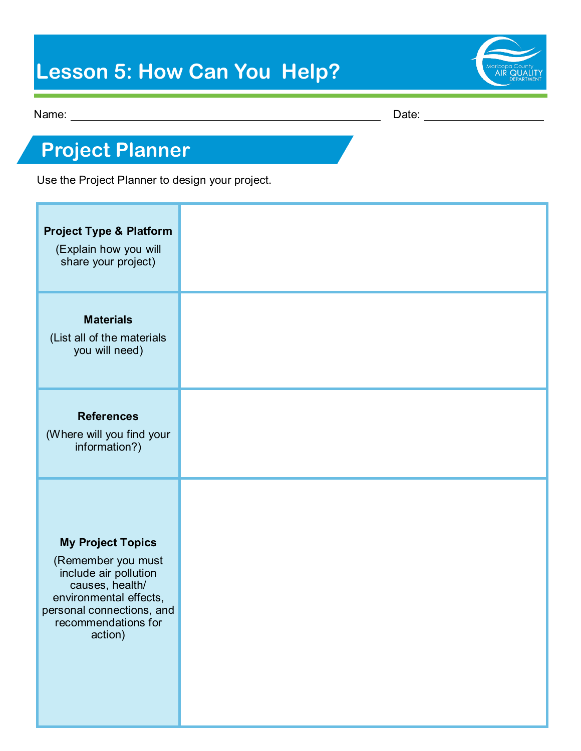## **Lesson 5: How Can You Help?**



Name: 2008. [2016] Date: 2016. [2016] Date: 2016. [2016] Date: 2016. [2016] Date: 2016. [2016] Date: 2016. [20

## **Project Planner**

Use the Project Planner to design your project.

| <b>Project Type &amp; Platform</b><br>(Explain how you will<br>share your project)                                                                                                  |  |
|-------------------------------------------------------------------------------------------------------------------------------------------------------------------------------------|--|
| <b>Materials</b><br>(List all of the materials<br>you will need)                                                                                                                    |  |
| <b>References</b><br>(Where will you find your<br>information?)                                                                                                                     |  |
| <b>My Project Topics</b><br>(Remember you must<br>include air pollution<br>causes, health/<br>environmental effects,<br>personal connections, and<br>recommendations for<br>action) |  |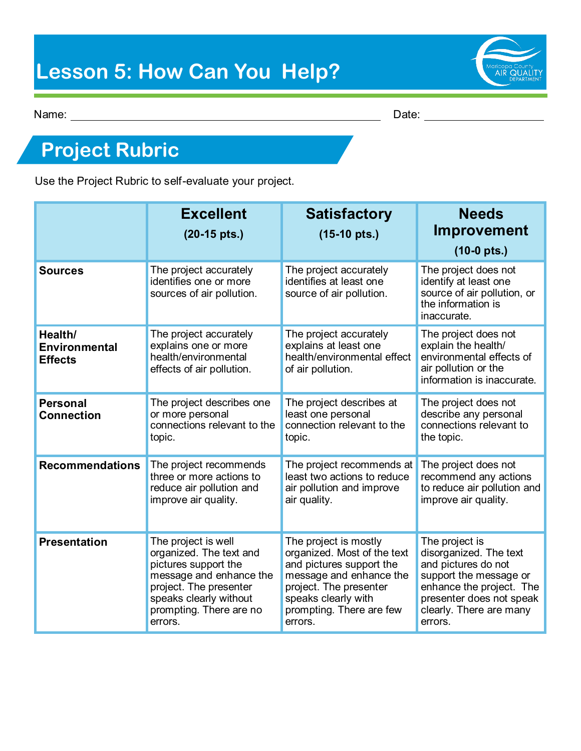

Name: 2008. [2016] Date: 2016. [2016] Date: 2016. [2016] Date: 2016. [2016] Date: 2016. [2016] Date: 2016. [20

### **Project Rubric**

Use the Project Rubric to self-evaluate your project.

|                                                   | <b>Excellent</b><br>$(20-15 \text{ pts.})$                                                                                                                                                  | <b>Satisfactory</b><br>$(15-10 \text{ pts.})$                                                                                                                                                       | <b>Needs</b><br><b>Improvement</b><br>$(10-0$ pts.)                                                                                                                                     |
|---------------------------------------------------|---------------------------------------------------------------------------------------------------------------------------------------------------------------------------------------------|-----------------------------------------------------------------------------------------------------------------------------------------------------------------------------------------------------|-----------------------------------------------------------------------------------------------------------------------------------------------------------------------------------------|
| <b>Sources</b>                                    | The project accurately<br>identifies one or more<br>sources of air pollution.                                                                                                               | The project accurately<br>identifies at least one<br>source of air pollution.                                                                                                                       | The project does not<br>identify at least one<br>source of air pollution, or<br>the information is<br>inaccurate.                                                                       |
| Health/<br><b>Environmental</b><br><b>Effects</b> | The project accurately<br>explains one or more<br>health/environmental<br>effects of air pollution.                                                                                         | The project accurately<br>explains at least one<br>health/environmental effect<br>of air pollution.                                                                                                 | The project does not<br>explain the health/<br>environmental effects of<br>air pollution or the<br>information is inaccurate.                                                           |
| <b>Personal</b><br><b>Connection</b>              | The project describes one<br>or more personal<br>connections relevant to the<br>topic.                                                                                                      | The project describes at<br>least one personal<br>connection relevant to the<br>topic.                                                                                                              | The project does not<br>describe any personal<br>connections relevant to<br>the topic.                                                                                                  |
| <b>Recommendations</b>                            | The project recommends<br>three or more actions to<br>reduce air pollution and<br>improve air quality.                                                                                      | The project recommends at<br>least two actions to reduce<br>air pollution and improve<br>air quality.                                                                                               | The project does not<br>recommend any actions<br>to reduce air pollution and<br>improve air quality.                                                                                    |
| <b>Presentation</b>                               | The project is well<br>organized. The text and<br>pictures support the<br>message and enhance the<br>project. The presenter<br>speaks clearly without<br>prompting. There are no<br>errors. | The project is mostly<br>organized. Most of the text<br>and pictures support the<br>message and enhance the<br>project. The presenter<br>speaks clearly with<br>prompting. There are few<br>errors. | The project is<br>disorganized. The text<br>and pictures do not<br>support the message or<br>enhance the project. The<br>presenter does not speak<br>clearly. There are many<br>errors. |